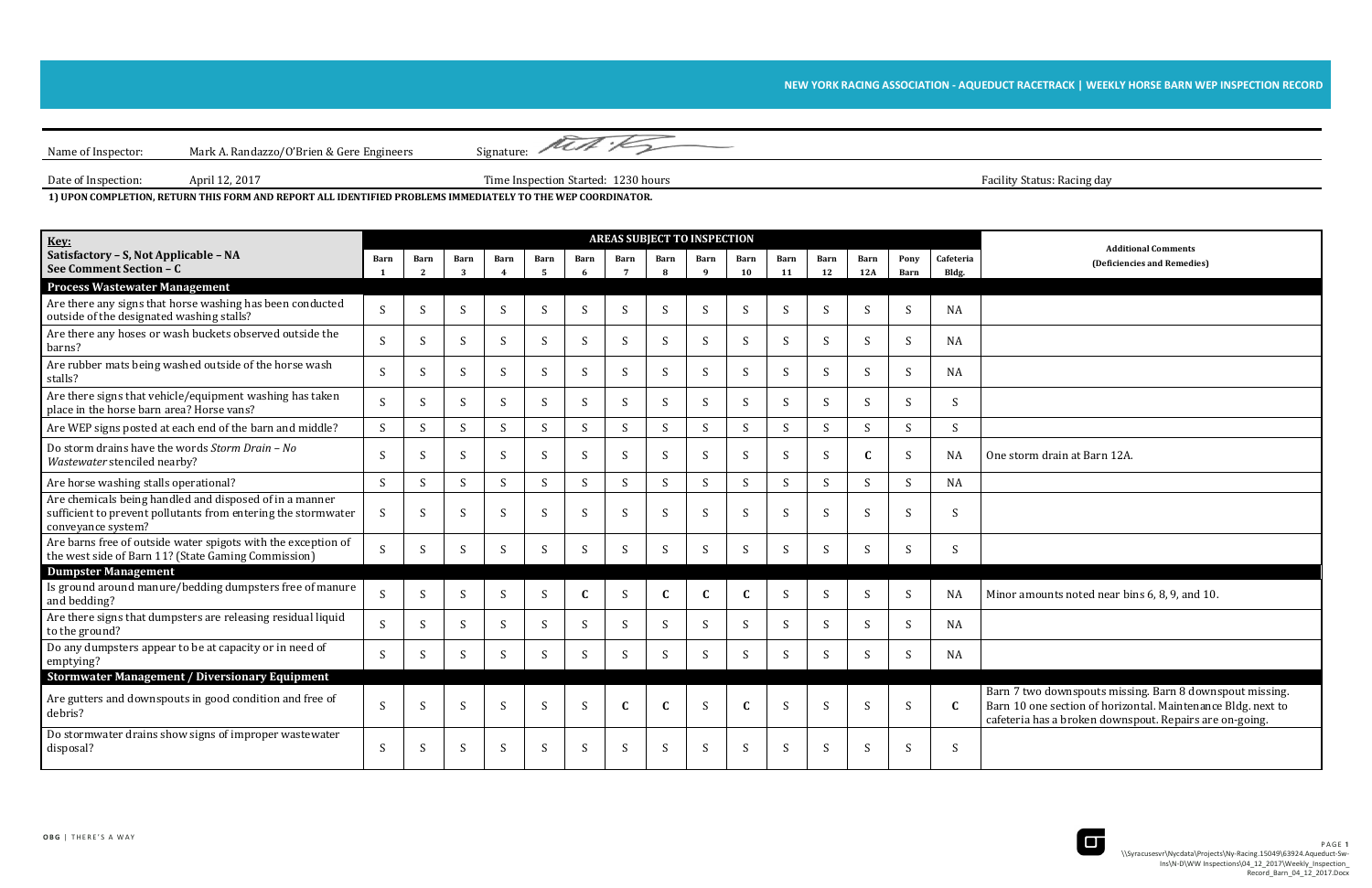Name of Inspector: Mark A. Randazzo/O'Brien & Gere Engineers Signature: Met 15 Date of Inspection: April 12, 2017 April 12, 2017 Time Inspection Started: 1230 hours

## NEW YORK RACING ASSOCIATION - AQUEDUCT RACETRACK | WEEKLY HORSE BARN WEP INSPECTION RECORD

Facility Status: Racing day

1) UPON COMPLETION, RETURN THIS FORM AND REPORT ALL IDENTIFIED PROBLEMS IMMEDIATELY TO THE WEP COORDINATOR.

| <b>Additional Comments</b>  |
|-----------------------------|
| (Deficiencies and Remedies) |

or amounts noted near bins 6, 8, 9, and 10.

In 7 two downspouts missing. Barn 8 downspout missing. Barn 10 one section of horizontal. Maintenance Bldg. next to eteria has a broken downspout. Repairs are on-going.



| Key:                                                                                                                                               | <b>AREAS SUBJECT TO INSPECTION</b> |                      |           |              |                        |              |                         |                           |              |                   | <b>Additional Comments</b> |                   |              |              |                    |                                                                                                                                         |
|----------------------------------------------------------------------------------------------------------------------------------------------------|------------------------------------|----------------------|-----------|--------------|------------------------|--------------|-------------------------|---------------------------|--------------|-------------------|----------------------------|-------------------|--------------|--------------|--------------------|-----------------------------------------------------------------------------------------------------------------------------------------|
| Satisfactory - S, Not Applicable - NA<br>See Comment Section - C                                                                                   | Barn                               | Barn<br><sup>2</sup> | Barn<br>3 | <b>Barn</b>  | Barn<br>$\overline{5}$ | Barn<br>-6   | Barn<br>$7\overline{ }$ | Barn<br>$\mathbf{R}$      | Barn<br>- 9  | <b>Barn</b><br>10 | <b>Barn</b><br>11          | <b>Barn</b><br>12 | Barn<br>12A  | Pony<br>Barn | Cafeteria<br>Bldg. | (Deficiencies and Remedies                                                                                                              |
| <b>Process Wastewater Management</b>                                                                                                               |                                    |                      |           |              |                        |              |                         |                           |              |                   |                            |                   |              |              |                    |                                                                                                                                         |
| Are there any signs that horse washing has been conducted<br>outside of the designated washing stalls?                                             | S                                  | S                    | S         | S            | S                      | S            | S                       | S                         | S            | S                 | S                          | S                 | S            | S            | NA                 |                                                                                                                                         |
| Are there any hoses or wash buckets observed outside the<br>barns?                                                                                 | <sub>S</sub>                       | S                    | S         | <sup>S</sup> | S                      | S.           | S                       | S                         | S            | S                 | S                          | S                 | S            | S            | NA                 |                                                                                                                                         |
| Are rubber mats being washed outside of the horse wash<br>stalls?                                                                                  | <sub>S</sub>                       | S                    | S         | S            | S                      | S            | S                       | $\boldsymbol{\mathsf{S}}$ | S            | S                 | S                          | S                 | S            | S            | <b>NA</b>          |                                                                                                                                         |
| Are there signs that vehicle/equipment washing has taken<br>place in the horse barn area? Horse vans?                                              | <sub>S</sub>                       | S                    | S         | S            | S                      | S.           | S                       | S                         | <sub>S</sub> | S                 | S                          | S                 | S            | S            | S                  |                                                                                                                                         |
| Are WEP signs posted at each end of the barn and middle?                                                                                           | S                                  | S                    | S         | S            | S                      | S            | S                       | S                         | S            | S                 | S                          | S                 | S            | S            | S                  |                                                                                                                                         |
| Do storm drains have the words Storm Drain - No<br>Wastewater stenciled nearby?                                                                    | <sub>S</sub>                       | S                    | S         | S            | S                      | <sup>S</sup> | S                       | S                         | -S           | S                 | S                          | S                 | $\mathbf C$  | S            | <b>NA</b>          | One storm drain at Barn 12A.                                                                                                            |
| Are horse washing stalls operational?                                                                                                              | S                                  | S                    | S         | S            | S                      | S            | S                       | S                         | S            | S                 | S                          | S                 | S            | S            | <b>NA</b>          |                                                                                                                                         |
| Are chemicals being handled and disposed of in a manner<br>sufficient to prevent pollutants from entering the stormwater<br>conveyance system?     | <sub>S</sub>                       | S                    | S         | S            | S                      | <sup>S</sup> | S                       | S                         | <sub>S</sub> | S                 | S                          | S                 | S            | S            | S                  |                                                                                                                                         |
| Are barns free of outside water spigots with the exception of<br>the west side of Barn 11? (State Gaming Commission)<br><b>Dumpster Management</b> | S.                                 | S                    | S         | S            | S                      | S            | S                       | S                         | <sup>S</sup> | S                 | <sup>S</sup>               | S                 | S            | S            | S.                 |                                                                                                                                         |
| Is ground around manure/bedding dumpsters free of manure<br>and bedding?                                                                           | S                                  | S                    | S         | S            | S                      | $\mathbf{C}$ | S                       | $\mathbf C$               | $\mathbf{C}$ | $\mathbf{C}$      | S                          | S                 | S            | <sub>S</sub> | <b>NA</b>          | Minor amounts noted near bins 6, 8, 9, and                                                                                              |
| Are there signs that dumpsters are releasing residual liquid<br>to the ground?                                                                     | <sub>S</sub>                       | S                    | S.        | S            | S                      | S.           | S                       | S                         | <sub>S</sub> | S                 | S.                         | S.                | S.           | S.           | NA                 |                                                                                                                                         |
| Do any dumpsters appear to be at capacity or in need of<br>emptying?                                                                               | S.                                 | S                    | S         | S            | S                      | S            | S                       | S                         | <sup>S</sup> | S                 | S                          | S                 | S            | S            | NA                 |                                                                                                                                         |
| <b>Stormwater Management / Diversionary Equipment</b>                                                                                              |                                    |                      |           |              |                        |              |                         |                           |              |                   |                            |                   |              |              |                    |                                                                                                                                         |
| Are gutters and downspouts in good condition and free of<br>debris?                                                                                | <sub>S</sub>                       | S                    | S         | <sup>S</sup> | <sub>S</sub>           | <sub>S</sub> | $\mathbf C$             | $\mathbf C$               | <sub>S</sub> |                   | <sub>S</sub>               | S                 | <sub>S</sub> | <sub>S</sub> | $\mathbf{C}$       | Barn 7 two downspouts missing. Barn 8 dow<br>Barn 10 one section of horizontal. Maintena<br>cafeteria has a broken downspout. Repairs a |
| Do stormwater drains show signs of improper wastewater<br>disposal?                                                                                | S                                  | S                    | S         | <sup>S</sup> | S                      | S            | S                       | S                         | S            | S                 | S                          | S                 | S            | <sup>S</sup> | <sup>S</sup>       |                                                                                                                                         |